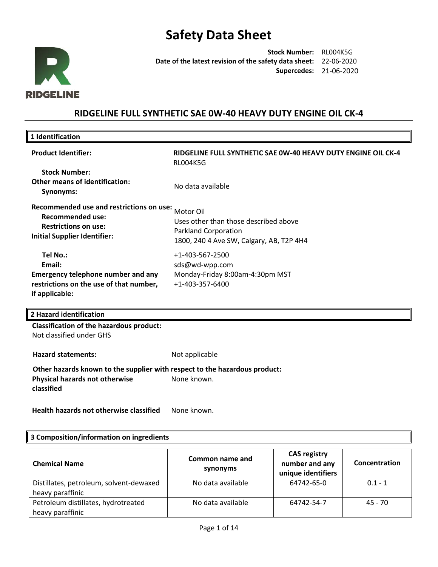

**Stock Number:** RL004K5G **Date of the latest revision of the safety data sheet:**  22-06-2020 **Supercedes:** 21-06-2020

## **RIDGELINE FULL SYNTHETIC SAE 0W-40 HEAVY DUTY ENGINE OIL CK-4**

| 1 Identification                                                                                                                          |                                                                                                                               |
|-------------------------------------------------------------------------------------------------------------------------------------------|-------------------------------------------------------------------------------------------------------------------------------|
| <b>Product Identifier:</b>                                                                                                                | RIDGELINE FULL SYNTHETIC SAE 0W-40 HEAVY DUTY ENGINE OIL CK-4<br><b>RLO04K5G</b>                                              |
| <b>Stock Number:</b><br><b>Other means of identification:</b><br>Synonyms:                                                                | No data available                                                                                                             |
| Recommended use and restrictions on use:<br><b>Recommended use:</b><br><b>Restrictions on use:</b><br><b>Initial Supplier Identifier:</b> | Motor Oil<br>Uses other than those described above<br><b>Parkland Corporation</b><br>1800, 240 4 Ave SW, Calgary, AB, T2P 4H4 |
| Tel No.:<br>Email:<br><b>Emergency telephone number and any</b><br>restrictions on the use of that number,<br>if applicable:              | $+1 - 403 - 567 - 2500$<br>sds@wd-wpp.com<br>Monday-Friday 8:00am-4:30pm MST<br>$+1 - 403 - 357 - 6400$                       |
| 2 Hazard identification                                                                                                                   |                                                                                                                               |
| <b>Classification of the hazardous product:</b><br>Not classified under GHS                                                               |                                                                                                                               |

Hazard statements: Not applicable **Other hazards known to the supplier with respect to the hazardous product: Physical hazards not otherwise**  None known.

Health hazards not otherwise classified None known.

#### **3 Composition/information on ingredients**

**classified** 

| <b>Chemical Name</b>                    | Common name and<br>synonyms | <b>CAS registry</b><br>number and any<br>unique identifiers | Concentration |
|-----------------------------------------|-----------------------------|-------------------------------------------------------------|---------------|
| Distillates, petroleum, solvent-dewaxed | No data available           | 64742-65-0                                                  | $0.1 - 1$     |
| heavy paraffinic                        |                             |                                                             |               |
| Petroleum distillates, hydrotreated     | No data available           | 64742-54-7                                                  | 45 - 70       |
| heavy paraffinic                        |                             |                                                             |               |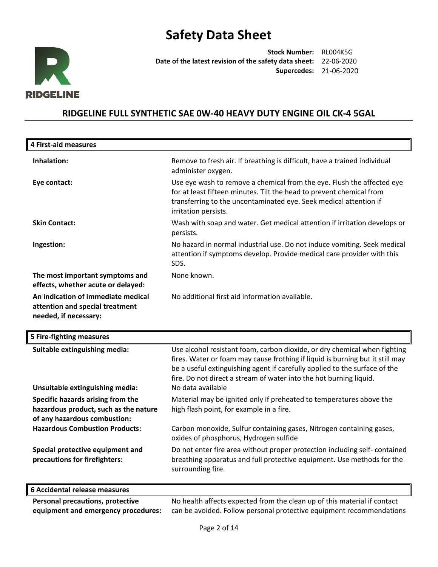

**Stock Number:** RL004K5G **Date of the latest revision of the safety data sheet:** 22-06-2020 **Supercedes:** 21-06-2020

## **RIDGELINE FULL SYNTHETIC SAE 0W-40 HEAVY DUTY ENGINE OIL CK-4 5GAL**

| <b>4 First-aid measures</b>                                                                    |                                                                                                                                                                                                                                             |
|------------------------------------------------------------------------------------------------|---------------------------------------------------------------------------------------------------------------------------------------------------------------------------------------------------------------------------------------------|
| Inhalation:                                                                                    | Remove to fresh air. If breathing is difficult, have a trained individual<br>administer oxygen.                                                                                                                                             |
| Eye contact:                                                                                   | Use eye wash to remove a chemical from the eye. Flush the affected eye<br>for at least fifteen minutes. Tilt the head to prevent chemical from<br>transferring to the uncontaminated eye. Seek medical attention if<br>irritation persists. |
| <b>Skin Contact:</b>                                                                           | Wash with soap and water. Get medical attention if irritation develops or<br>persists.                                                                                                                                                      |
| Ingestion:                                                                                     | No hazard in normal industrial use. Do not induce vomiting. Seek medical<br>attention if symptoms develop. Provide medical care provider with this<br>SDS.                                                                                  |
| The most important symptoms and<br>effects, whether acute or delayed:                          | None known.                                                                                                                                                                                                                                 |
| An indication of immediate medical<br>attention and special treatment<br>needed, if necessary: | No additional first aid information available.                                                                                                                                                                                              |

| 5 Fire-fighting measures |  |
|--------------------------|--|
|--------------------------|--|

| Suitable extinguishing media:         | Use alcohol resistant foam, carbon dioxide, or dry chemical when fighting                                      |
|---------------------------------------|----------------------------------------------------------------------------------------------------------------|
|                                       | fires. Water or foam may cause frothing if liquid is burning but it still may                                  |
|                                       | be a useful extinguishing agent if carefully applied to the surface of the                                     |
|                                       | fire. Do not direct a stream of water into the hot burning liquid.                                             |
| Unsuitable extinguishing media:       | No data available                                                                                              |
| Specific hazards arising from the     | Material may be ignited only if preheated to temperatures above the                                            |
| hazardous product, such as the nature | high flash point, for example in a fire.                                                                       |
| of any hazardous combustion:          |                                                                                                                |
| <b>Hazardous Combustion Products:</b> | Carbon monoxide, Sulfur containing gases, Nitrogen containing gases,<br>oxides of phosphorus, Hydrogen sulfide |
| Special protective equipment and      | Do not enter fire area without proper protection including self-contained                                      |
| precautions for firefighters:         | breathing apparatus and full protective equipment. Use methods for the<br>surrounding fire.                    |
|                                       |                                                                                                                |
| 6 Accidental release measures         |                                                                                                                |

**Personal precautions, protective equipment and emergency procedures:**  No health affects expected from the clean up of this material if contact can be avoided. Follow personal protective equipment recommendations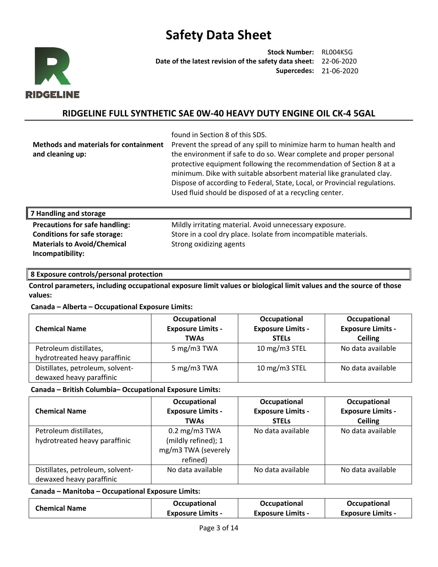

**Stock Number:** RL004K5G **Date of the latest revision of the safety data sheet:** 22-06-2020 **Supercedes:** 21-06-2020

## **RIDGELINE FULL SYNTHETIC SAE 0W-40 HEAVY DUTY ENGINE OIL CK-4 5GAL**

found in Section 8 of this SDS.

**Methods and materials for containment and cleaning up:**  Prevent the spread of any spill to minimize harm to human health and the environment if safe to do so. Wear complete and proper personal protective equipment following the recommendation of Section 8 at a minimum. Dike with suitable absorbent material like granulated clay. Dispose of according to Federal, State, Local, or Provincial regulations. Used fluid should be disposed of at a recycling center.

### **7 Handling and storage**

**Materials to Avoid/Chemical Incompatibility:** 

**Precautions for safe handling:** Mildly irritating material. Avoid unnecessary exposure. **Conditions for safe storage:** Store in a cool dry place. Isolate from incompatible materials. Strong oxidizing agents

### **8 Exposure controls/personal protection**

**Control parameters, including occupational exposure limit values or biological limit values and the source of those values:**

### **Canada – Alberta – Occupational Exposure Limits:**

| <b>Chemical Name</b>             | Occupational<br><b>Exposure Limits -</b><br><b>TWAs</b> | Occupational<br><b>Exposure Limits -</b><br><b>STELS</b> | Occupational<br><b>Exposure Limits -</b><br><b>Ceiling</b> |
|----------------------------------|---------------------------------------------------------|----------------------------------------------------------|------------------------------------------------------------|
| Petroleum distillates,           | 5 mg/m3 TWA                                             | 10 mg/m3 STEL                                            | No data available                                          |
| hydrotreated heavy paraffinic    |                                                         |                                                          |                                                            |
| Distillates, petroleum, solvent- | 5 mg/m3 TWA                                             | 10 mg/m3 STEL                                            | No data available                                          |
| dewaxed heavy paraffinic         |                                                         |                                                          |                                                            |

### **Canada – British Columbia– Occupational Exposure Limits:**

| <b>Chemical Name</b>                                         | Occupational<br><b>Exposure Limits -</b><br><b>TWAs</b>                            | Occupational<br><b>Exposure Limits -</b><br><b>STELS</b> | Occupational<br><b>Exposure Limits -</b><br><b>Ceiling</b> |
|--------------------------------------------------------------|------------------------------------------------------------------------------------|----------------------------------------------------------|------------------------------------------------------------|
| Petroleum distillates,<br>hydrotreated heavy paraffinic      | $0.2 \text{ mg/m}$ 3 TWA<br>(mildly refined); 1<br>mg/m3 TWA (severely<br>refined) | No data available                                        | No data available                                          |
| Distillates, petroleum, solvent-<br>dewaxed heavy paraffinic | No data available                                                                  | No data available                                        | No data available                                          |

#### **Canada – Manitoba – Occupational Exposure Limits:**

| <b>Chemical Name</b> | <b>Occupational</b>      | Occupational             | <b>Occupational</b>      |
|----------------------|--------------------------|--------------------------|--------------------------|
|                      | <b>Exposure Limits -</b> | <b>Exposure Limits -</b> | <b>Exposure Limits -</b> |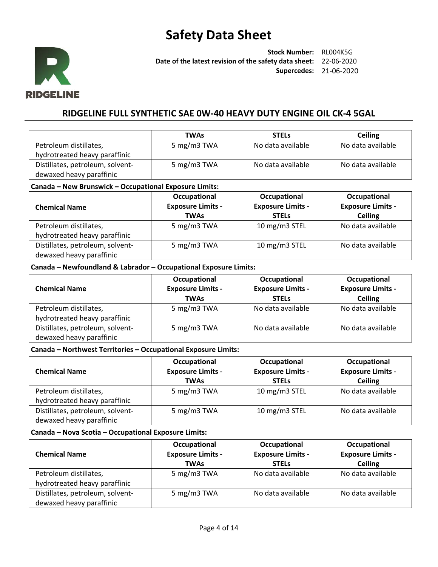

**Stock Number:** RL004K5G **Date of the latest revision of the safety data sheet:** 22-06-2020 **Supercedes:** 21-06-2020

## **RIDGELINE FULL SYNTHETIC SAE 0W-40 HEAVY DUTY ENGINE OIL CK-4 5GAL**

|                                  | TWAs        | <b>STELS</b>      | <b>Ceiling</b>    |
|----------------------------------|-------------|-------------------|-------------------|
| Petroleum distillates,           | 5 mg/m3 TWA | No data available | No data available |
| hydrotreated heavy paraffinic    |             |                   |                   |
| Distillates, petroleum, solvent- | 5 mg/m3 TWA | No data available | No data available |
| dewaxed heavy paraffinic         |             |                   |                   |

#### **Canada – New Brunswick – Occupational Exposure Limits:**

| <b>Chemical Name</b>                                         | Occupational<br><b>Exposure Limits -</b><br><b>TWAs</b> | Occupational<br><b>Exposure Limits -</b><br><b>STELS</b> | Occupational<br><b>Exposure Limits -</b><br><b>Ceiling</b> |
|--------------------------------------------------------------|---------------------------------------------------------|----------------------------------------------------------|------------------------------------------------------------|
| Petroleum distillates,<br>hydrotreated heavy paraffinic      | 5 mg/m3 TWA                                             | 10 mg/m3 STEL                                            | No data available                                          |
| Distillates, petroleum, solvent-<br>dewaxed heavy paraffinic | 5 mg/m3 TWA                                             | 10 mg/m3 STEL                                            | No data available                                          |

#### **Canada – Newfoundland & Labrador – Occupational Exposure Limits:**

| <b>Chemical Name</b>                                         | Occupational<br><b>Exposure Limits -</b><br><b>TWAs</b> | Occupational<br><b>Exposure Limits -</b><br><b>STELS</b> | Occupational<br><b>Exposure Limits -</b><br><b>Ceiling</b> |
|--------------------------------------------------------------|---------------------------------------------------------|----------------------------------------------------------|------------------------------------------------------------|
| Petroleum distillates,                                       | 5 mg/m3 TWA                                             | No data available                                        | No data available                                          |
| hydrotreated heavy paraffinic                                |                                                         |                                                          |                                                            |
| Distillates, petroleum, solvent-<br>dewaxed heavy paraffinic | 5 mg/m3 TWA                                             | No data available                                        | No data available                                          |

#### **Canada – Northwest Territories – Occupational Exposure Limits:**

| <b>Chemical Name</b>             | Occupational<br><b>Exposure Limits -</b><br><b>TWAs</b> | Occupational<br><b>Exposure Limits -</b><br><b>STELS</b> | Occupational<br><b>Exposure Limits -</b><br><b>Ceiling</b> |
|----------------------------------|---------------------------------------------------------|----------------------------------------------------------|------------------------------------------------------------|
| Petroleum distillates,           | 5 mg/m3 TWA                                             | 10 mg/m3 STEL                                            | No data available                                          |
| hydrotreated heavy paraffinic    |                                                         |                                                          |                                                            |
| Distillates, petroleum, solvent- | 5 mg/m3 TWA                                             | 10 mg/m3 STEL                                            | No data available                                          |
| dewaxed heavy paraffinic         |                                                         |                                                          |                                                            |

### **Canada – Nova Scotia – Occupational Exposure Limits:**

| <b>Chemical Name</b>             | Occupational<br><b>Exposure Limits -</b><br><b>TWAs</b> | Occupational<br><b>Exposure Limits -</b><br><b>STELS</b> | Occupational<br><b>Exposure Limits -</b><br><b>Ceiling</b> |
|----------------------------------|---------------------------------------------------------|----------------------------------------------------------|------------------------------------------------------------|
| Petroleum distillates,           | 5 mg/m3 TWA                                             | No data available                                        | No data available                                          |
| hydrotreated heavy paraffinic    |                                                         |                                                          |                                                            |
| Distillates, petroleum, solvent- | 5 mg/m3 TWA                                             | No data available                                        | No data available                                          |
| dewaxed heavy paraffinic         |                                                         |                                                          |                                                            |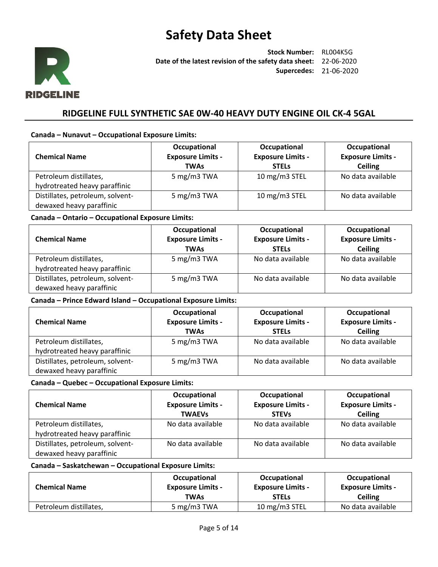

**Stock Number:** RL004K5G **Date of the latest revision of the safety data sheet:** 22-06-2020 **Supercedes:** 21-06-2020

## **RIDGELINE FULL SYNTHETIC SAE 0W-40 HEAVY DUTY ENGINE OIL CK-4 5GAL**

### **Canada – Nunavut – Occupational Exposure Limits:**

| <b>Chemical Name</b>             | Occupational<br><b>Exposure Limits -</b><br><b>TWAs</b> | Occupational<br><b>Exposure Limits -</b><br><b>STELS</b> | Occupational<br><b>Exposure Limits -</b><br><b>Ceiling</b> |
|----------------------------------|---------------------------------------------------------|----------------------------------------------------------|------------------------------------------------------------|
| Petroleum distillates,           | 5 mg/m3 TWA                                             | 10 mg/m3 STEL                                            | No data available                                          |
| hydrotreated heavy paraffinic    |                                                         |                                                          |                                                            |
| Distillates, petroleum, solvent- | 5 mg/m3 TWA                                             | 10 mg/m3 STEL                                            | No data available                                          |
| dewaxed heavy paraffinic         |                                                         |                                                          |                                                            |

#### **Canada – Ontario – Occupational Exposure Limits:**

| <b>Chemical Name</b>                                         | Occupational<br><b>Exposure Limits -</b><br><b>TWAs</b> | Occupational<br><b>Exposure Limits -</b><br><b>STELS</b> | Occupational<br><b>Exposure Limits -</b><br><b>Ceiling</b> |
|--------------------------------------------------------------|---------------------------------------------------------|----------------------------------------------------------|------------------------------------------------------------|
| Petroleum distillates,<br>hydrotreated heavy paraffinic      | 5 mg/m3 TWA                                             | No data available                                        | No data available                                          |
| Distillates, petroleum, solvent-<br>dewaxed heavy paraffinic | 5 mg/m3 TWA                                             | No data available                                        | No data available                                          |

#### **Canada – Prince Edward Island – Occupational Exposure Limits:**

| <b>Chemical Name</b>                                         | Occupational<br><b>Exposure Limits -</b><br><b>TWAs</b> | Occupational<br><b>Exposure Limits -</b><br><b>STELS</b> | Occupational<br><b>Exposure Limits -</b><br><b>Ceiling</b> |
|--------------------------------------------------------------|---------------------------------------------------------|----------------------------------------------------------|------------------------------------------------------------|
| Petroleum distillates,<br>hydrotreated heavy paraffinic      | 5 mg/m3 TWA                                             | No data available                                        | No data available                                          |
| Distillates, petroleum, solvent-<br>dewaxed heavy paraffinic | 5 mg/m3 TWA                                             | No data available                                        | No data available                                          |

### **Canada – Quebec – Occupational Exposure Limits:**

| <b>Chemical Name</b>                                         | Occupational<br><b>Exposure Limits -</b><br><b>TWAEVS</b> | Occupational<br><b>Exposure Limits -</b><br><b>STEVs</b> | Occupational<br><b>Exposure Limits -</b><br><b>Ceiling</b> |
|--------------------------------------------------------------|-----------------------------------------------------------|----------------------------------------------------------|------------------------------------------------------------|
| Petroleum distillates,<br>hydrotreated heavy paraffinic      | No data available                                         | No data available                                        | No data available                                          |
| Distillates, petroleum, solvent-<br>dewaxed heavy paraffinic | No data available                                         | No data available                                        | No data available                                          |

### **Canada – Saskatchewan – Occupational Exposure Limits:**

| <b>Chemical Name</b>   | Occupational             | Occupational             | Occupational             |
|------------------------|--------------------------|--------------------------|--------------------------|
|                        | <b>Exposure Limits -</b> | <b>Exposure Limits -</b> | <b>Exposure Limits -</b> |
|                        | TWAs                     | <b>STELS</b>             | <b>Ceiling</b>           |
| Petroleum distillates, | 5 mg/m3 TWA              | 10 mg/m3 STEL            | No data available        |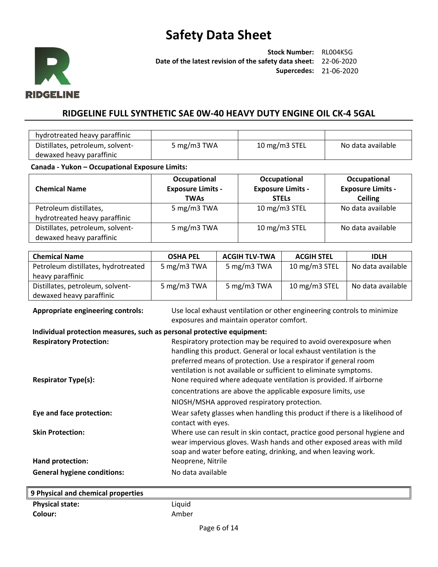

**Stock Number:** RL004K5G **Date of the latest revision of the safety data sheet:** 22-06-2020 **Supercedes:** 21-06-2020

## **RIDGELINE FULL SYNTHETIC SAE 0W-40 HEAVY DUTY ENGINE OIL CK-4 5GAL**

| hydrotreated heavy paraffinic    |                |               |                   |
|----------------------------------|----------------|---------------|-------------------|
| Distillates, petroleum, solvent- | 5 mg/m $3$ TWA | 10 mg/m3 STEL | No data available |
| dewaxed heavy paraffinic         |                |               |                   |

### **Canada - Yukon – Occupational Exposure Limits:**

| <b>Chemical Name</b>                                         | Occupational<br><b>Exposure Limits -</b><br><b>TWAs</b> | Occupational<br><b>Exposure Limits -</b><br><b>STELS</b> | Occupational<br><b>Exposure Limits -</b><br><b>Ceiling</b> |
|--------------------------------------------------------------|---------------------------------------------------------|----------------------------------------------------------|------------------------------------------------------------|
| Petroleum distillates,<br>hydrotreated heavy paraffinic      | 5 mg/m3 TWA                                             | 10 mg/m3 STEL                                            | No data available                                          |
| Distillates, petroleum, solvent-<br>dewaxed heavy paraffinic | 5 mg/m3 TWA                                             | 10 mg/m3 STEL                                            | No data available                                          |

| <b>Chemical Name</b>                | <b>OSHA PEL</b> | <b>ACGIH TLV-TWA</b> | <b>ACGIH STEL</b> | <b>IDLH</b>       |
|-------------------------------------|-----------------|----------------------|-------------------|-------------------|
| Petroleum distillates, hydrotreated | 5 mg/m3 TWA     | 5 mg/m3 TWA          | 10 mg/m3 STEL     | No data available |
| heavy paraffinic                    |                 |                      |                   |                   |
| Distillates, petroleum, solvent-    | 5 mg/m3 TWA     | 5 mg/m3 TWA          | 10 mg/m3 STEL     | No data available |
| dewaxed heavy paraffinic            |                 |                      |                   |                   |

**Appropriate engineering controls:** Use local exhaust ventilation or other engineering controls to minimize exposures and maintain operator comfort.

### **Individual protection measures, such as personal protective equipment:**

| <b>Respiratory Protection:</b>     | Respiratory protection may be required to avoid overexposure when<br>handling this product. General or local exhaust ventilation is the<br>preferred means of protection. Use a respirator if general room<br>ventilation is not available or sufficient to eliminate symptoms. |
|------------------------------------|---------------------------------------------------------------------------------------------------------------------------------------------------------------------------------------------------------------------------------------------------------------------------------|
| <b>Respirator Type(s):</b>         | None required where adequate ventilation is provided. If airborne<br>concentrations are above the applicable exposure limits, use<br>NIOSH/MSHA approved respiratory protection.                                                                                                |
| Eye and face protection:           | Wear safety glasses when handling this product if there is a likelihood of<br>contact with eyes.                                                                                                                                                                                |
| <b>Skin Protection:</b>            | Where use can result in skin contact, practice good personal hygiene and<br>wear impervious gloves. Wash hands and other exposed areas with mild<br>soap and water before eating, drinking, and when leaving work.                                                              |
| Hand protection:                   | Neoprene, Nitrile                                                                                                                                                                                                                                                               |
| <b>General hygiene conditions:</b> | No data available                                                                                                                                                                                                                                                               |

| 9 Physical and chemical properties |        |
|------------------------------------|--------|
| <b>Physical state:</b>             | Liquid |
| Colour:                            | Amber  |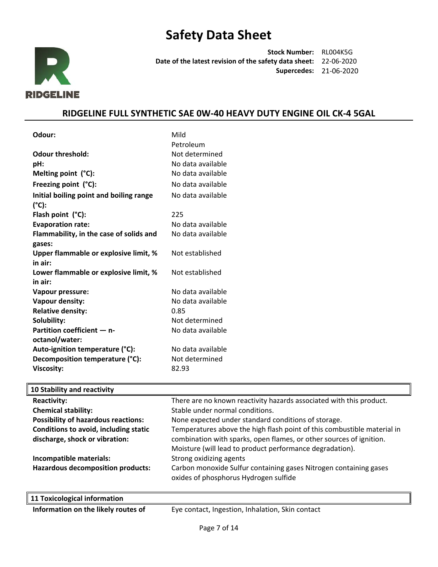

**Stock Number:** RL004K5G **Date of the latest revision of the safety data sheet:** 22-06-2020 **Supercedes:** 21-06-2020

## **RIDGELINE FULL SYNTHETIC SAE 0W-40 HEAVY DUTY ENGINE OIL CK-4 5GAL**

| Odour:                                     | Mild                                                                    |
|--------------------------------------------|-------------------------------------------------------------------------|
|                                            | Petroleum                                                               |
| <b>Odour threshold:</b>                    | Not determined                                                          |
| pH:                                        | No data available                                                       |
| Melting point (°C):                        | No data available                                                       |
| Freezing point (°C):                       | No data available                                                       |
| Initial boiling point and boiling range    | No data available                                                       |
| $(^{\circ}C):$                             |                                                                         |
| Flash point (°C):                          | 225                                                                     |
| <b>Evaporation rate:</b>                   | No data available                                                       |
| Flammability, in the case of solids and    | No data available                                                       |
| gases:                                     |                                                                         |
| Upper flammable or explosive limit, %      | Not established                                                         |
| in air:                                    |                                                                         |
| Lower flammable or explosive limit, %      | Not established                                                         |
| in air:                                    |                                                                         |
| Vapour pressure:                           | No data available                                                       |
| Vapour density:                            | No data available                                                       |
| <b>Relative density:</b>                   | 0.85                                                                    |
| Solubility:                                | Not determined                                                          |
| Partition coefficient - n-                 | No data available                                                       |
| octanol/water:                             |                                                                         |
| Auto-ignition temperature (°C):            | No data available                                                       |
| Decomposition temperature (°C):            | Not determined                                                          |
| Viscosity:                                 | 82.93                                                                   |
| 10 Stability and reactivity                |                                                                         |
| <b>Reactivity:</b>                         | There are no known reactivity hazards associated with this product.     |
| <b>Chemical stability:</b>                 | Stable under normal conditions.                                         |
| <b>Possibility of hazardous reactions:</b> | None expected under standard conditions of storage.                     |
| Conditions to avoid, including static      | Temperatures above the high flash point of this combustible material in |
| discharge, shock or vibration:             | combination with sparks, open flames, or other sources of ignition.     |
|                                            | Moisture (will lead to product performance degradation).                |

**Incompatible materials: Strong oxidizing agents Hazardous decomposition products:** Carbon monoxide Sulfur containing gases Nitrogen containing gases

**Information on the likely routes of Eye contact, Ingestion, Inhalation, Skin contact** 

oxides of phosphorus Hydrogen sulfide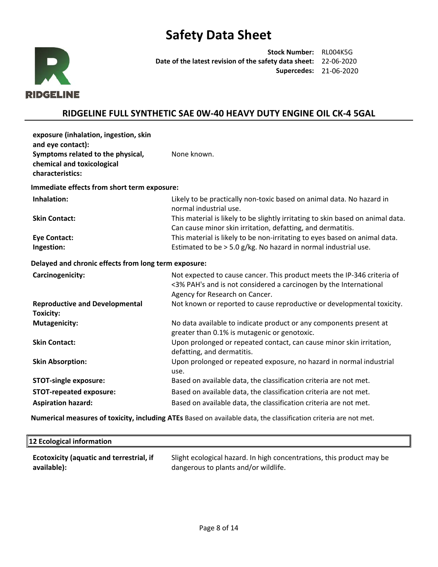

**Stock Number:** RL004K5G **Date of the latest revision of the safety data sheet:** 22-06-2020 **Supercedes:** 21-06-2020

## **RIDGELINE FULL SYNTHETIC SAE 0W-40 HEAVY DUTY ENGINE OIL CK-4 5GAL**

| exposure (inhalation, ingestion, skin<br>and eye contact):<br>Symptoms related to the physical,<br>chemical and toxicological<br>characteristics: | None known.                                                                                                                                                                    |
|---------------------------------------------------------------------------------------------------------------------------------------------------|--------------------------------------------------------------------------------------------------------------------------------------------------------------------------------|
| Immediate effects from short term exposure:                                                                                                       |                                                                                                                                                                                |
| Inhalation:                                                                                                                                       | Likely to be practically non-toxic based on animal data. No hazard in<br>normal industrial use.                                                                                |
| <b>Skin Contact:</b>                                                                                                                              | This material is likely to be slightly irritating to skin based on animal data.<br>Can cause minor skin irritation, defatting, and dermatitis.                                 |
| <b>Eye Contact:</b>                                                                                                                               | This material is likely to be non-irritating to eyes based on animal data.                                                                                                     |
| Ingestion:                                                                                                                                        | Estimated to be $> 5.0$ g/kg. No hazard in normal industrial use.                                                                                                              |
| Delayed and chronic effects from long term exposure:                                                                                              |                                                                                                                                                                                |
| Carcinogenicity:                                                                                                                                  | Not expected to cause cancer. This product meets the IP-346 criteria of<br><3% PAH's and is not considered a carcinogen by the International<br>Agency for Research on Cancer. |
| <b>Reproductive and Developmental</b><br><b>Toxicity:</b>                                                                                         | Not known or reported to cause reproductive or developmental toxicity.                                                                                                         |
| <b>Mutagenicity:</b>                                                                                                                              | No data available to indicate product or any components present at<br>greater than 0.1% is mutagenic or genotoxic.                                                             |
| <b>Skin Contact:</b>                                                                                                                              | Upon prolonged or repeated contact, can cause minor skin irritation,<br>defatting, and dermatitis.                                                                             |
| <b>Skin Absorption:</b>                                                                                                                           | Upon prolonged or repeated exposure, no hazard in normal industrial<br>use.                                                                                                    |
| <b>STOT-single exposure:</b>                                                                                                                      | Based on available data, the classification criteria are not met.                                                                                                              |
| <b>STOT-repeated exposure:</b>                                                                                                                    | Based on available data, the classification criteria are not met.                                                                                                              |
| <b>Aspiration hazard:</b>                                                                                                                         | Based on available data, the classification criteria are not met.                                                                                                              |

**Numerical measures of toxicity, including ATEs** Based on available data, the classification criteria are not met.

| 12 Ecological information                       |                                                                       |
|-------------------------------------------------|-----------------------------------------------------------------------|
| <b>Ecotoxicity (aquatic and terrestrial, if</b> | Slight ecological hazard. In high concentrations, this product may be |
| available):                                     | dangerous to plants and/or wildlife.                                  |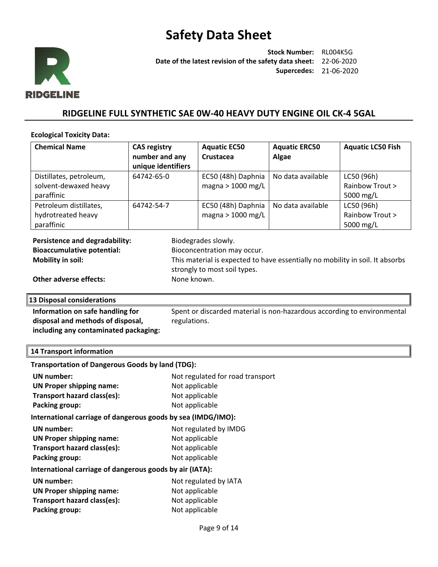

**Stock Number:** RL004K5G **Date of the latest revision of the safety data sheet:** 22-06-2020 **Supercedes:** 21-06-2020

## **RIDGELINE FULL SYNTHETIC SAE 0W-40 HEAVY DUTY ENGINE OIL CK-4 5GAL**

#### **Ecological Toxicity Data:**

| <b>CAS registry</b> | <b>Aquatic EC50</b> | <b>Aquatic ERC50</b> | <b>Aquatic LC50 Fish</b> |
|---------------------|---------------------|----------------------|--------------------------|
| number and any      | Crustacea           | Algae                |                          |
| unique identifiers  |                     |                      |                          |
| 64742-65-0          | EC50 (48h) Daphnia  | No data available    | LC50 (96h)               |
|                     | magna > $1000$ mg/L |                      | Rainbow Trout >          |
|                     |                     |                      | 5000 mg/L                |
| 64742-54-7          | EC50 (48h) Daphnia  | No data available    | LC50 (96h)               |
|                     | magna > $1000$ mg/L |                      | Rainbow Trout >          |
|                     |                     |                      | 5000 mg/L                |
|                     |                     |                      |                          |

| Persistence and degradability:    | Biodegrades slowly.                                                                                           |
|-----------------------------------|---------------------------------------------------------------------------------------------------------------|
| <b>Bioaccumulative potential:</b> | Bioconcentration may occur.                                                                                   |
| Mobility in soil:                 | This material is expected to have essentially no mobility in soil. It absorbs<br>strongly to most soil types. |
| Other adverse effects:            | None known.                                                                                                   |

### **13 Disposal considerations**

**Information on safe handling for disposal and methods of disposal, including any contaminated packaging:** Spent or discarded material is non-hazardous according to environmental regulations.

### **14 Transport information**

| <b>Transportation of Dangerous Goods by land (TDG):</b>      |                                  |
|--------------------------------------------------------------|----------------------------------|
| UN number:                                                   | Not regulated for road transport |
| <b>UN Proper shipping name:</b>                              | Not applicable                   |
| Transport hazard class(es):                                  | Not applicable                   |
| Packing group:                                               | Not applicable                   |
| International carriage of dangerous goods by sea (IMDG/IMO): |                                  |
| <b>UN</b> number:                                            | Not regulated by IMDG            |
| <b>UN Proper shipping name:</b>                              | Not applicable                   |
| Transport hazard class(es):                                  | Not applicable                   |
| Packing group:                                               | Not applicable                   |
| International carriage of dangerous goods by air (IATA):     |                                  |
| UN number:                                                   | Not regulated by IATA            |
| <b>UN Proper shipping name:</b>                              | Not applicable                   |
| Transport hazard class(es):                                  | Not applicable                   |
| Packing group:                                               | Not applicable                   |
|                                                              |                                  |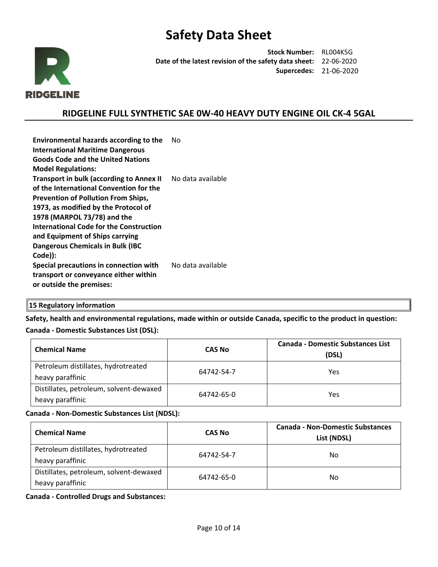

**Stock Number:** RL004K5G **Date of the latest revision of the safety data sheet:** 22-06-2020 **Supercedes:** 21-06-2020

## **RIDGELINE FULL SYNTHETIC SAE 0W-40 HEAVY DUTY ENGINE OIL CK-4 5GAL**

| <b>Environmental hazards according to the</b><br><b>International Maritime Dangerous</b><br><b>Goods Code and the United Nations</b>                                                                                                                                                                                                                | Nο                |
|-----------------------------------------------------------------------------------------------------------------------------------------------------------------------------------------------------------------------------------------------------------------------------------------------------------------------------------------------------|-------------------|
| <b>Model Regulations:</b>                                                                                                                                                                                                                                                                                                                           |                   |
| <b>Transport in bulk (according to Annex II</b><br>of the International Convention for the<br><b>Prevention of Pollution From Ships,</b><br>1973, as modified by the Protocol of<br>1978 (MARPOL 73/78) and the<br>International Code for the Construction<br>and Equipment of Ships carrying<br><b>Dangerous Chemicals in Bulk (IBC</b><br>Code)): | No data available |
| Special precautions in connection with<br>transport or conveyance either within<br>or outside the premises:                                                                                                                                                                                                                                         | No data available |

### **15 Regulatory information**

**Safety, health and environmental regulations, made within or outside Canada, specific to the product in question: Canada - Domestic Substances List (DSL):**

| <b>Chemical Name</b>                                        | <b>CAS No</b> | <b>Canada - Domestic Substances List</b><br>(DSL) |  |
|-------------------------------------------------------------|---------------|---------------------------------------------------|--|
| Petroleum distillates, hydrotreated<br>heavy paraffinic     | 64742-54-7    | Yes                                               |  |
| Distillates, petroleum, solvent-dewaxed<br>heavy paraffinic | 64742-65-0    | Yes                                               |  |

**Canada - Non-Domestic Substances List (NDSL):**

| <b>Chemical Name</b>                                        | <b>CAS No</b> | <b>Canada - Non-Domestic Substances</b><br>List (NDSL) |  |
|-------------------------------------------------------------|---------------|--------------------------------------------------------|--|
| Petroleum distillates, hydrotreated<br>heavy paraffinic     | 64742-54-7    | No                                                     |  |
| Distillates, petroleum, solvent-dewaxed<br>heavy paraffinic | 64742-65-0    | No                                                     |  |

**Canada - Controlled Drugs and Substances:**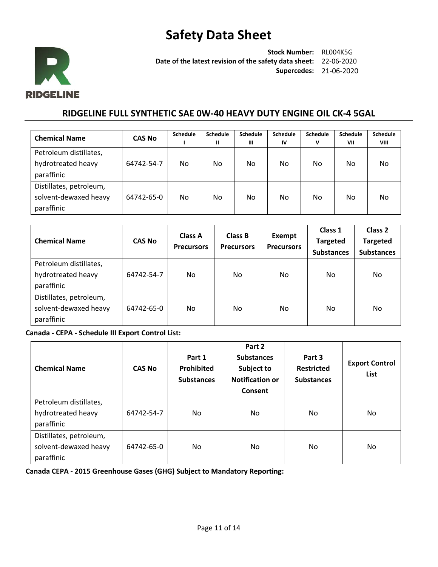

**Stock Number:** RL004K5G **Date of the latest revision of the safety data sheet:** 22-06-2020 **Supercedes:** 21-06-2020

## **RIDGELINE FULL SYNTHETIC SAE 0W-40 HEAVY DUTY ENGINE OIL CK-4 5GAL**

| <b>Chemical Name</b>    | <b>CAS No</b> | <b>Schedule</b> | <b>Schedule</b> | Schedule | Schedule | <b>Schedule</b> | <b>Schedule</b> | Schedule |
|-------------------------|---------------|-----------------|-----------------|----------|----------|-----------------|-----------------|----------|
|                         |               |                 | Ш               | Ш        | IV       | v               | VII             | VIII     |
| Petroleum distillates,  |               |                 |                 |          |          |                 |                 |          |
| hydrotreated heavy      | 64742-54-7    | No.             | No              | No       | No       | No.             | No.             | No       |
| paraffinic              |               |                 |                 |          |          |                 |                 |          |
| Distillates, petroleum, |               |                 |                 |          |          |                 |                 |          |
| solvent-dewaxed heavy   | 64742-65-0    | No.             | No.             | No       | No.      | No.             | No              | No       |
| paraffinic              |               |                 |                 |          |          |                 |                 |          |

| <b>Chemical Name</b>                                           | <b>CAS No</b> | <b>Class A</b><br><b>Precursors</b> | <b>Class B</b><br><b>Precursors</b> | Exempt<br><b>Precursors</b> | Class 1<br><b>Targeted</b><br><b>Substances</b> | Class 2<br><b>Targeted</b><br><b>Substances</b> |
|----------------------------------------------------------------|---------------|-------------------------------------|-------------------------------------|-----------------------------|-------------------------------------------------|-------------------------------------------------|
| Petroleum distillates,<br>hydrotreated heavy<br>paraffinic     | 64742-54-7    | No.                                 | No.                                 | No.                         | No                                              | No                                              |
| Distillates, petroleum,<br>solvent-dewaxed heavy<br>paraffinic | 64742-65-0    | No.                                 | No.                                 | No.                         | No                                              | No                                              |

**Canada - CEPA - Schedule III Export Control List:**

| <b>Chemical Name</b>                                           | <b>CAS No</b> | Part 1<br>Prohibited<br><b>Substances</b> | Part 2<br><b>Substances</b><br>Subject to<br><b>Notification or</b><br>Consent | Part 3<br><b>Restricted</b><br><b>Substances</b> | <b>Export Control</b><br><b>List</b> |
|----------------------------------------------------------------|---------------|-------------------------------------------|--------------------------------------------------------------------------------|--------------------------------------------------|--------------------------------------|
| Petroleum distillates,<br>hydrotreated heavy<br>paraffinic     | 64742-54-7    | No.                                       | No                                                                             | No.                                              | No                                   |
| Distillates, petroleum,<br>solvent-dewaxed heavy<br>paraffinic | 64742-65-0    | No                                        | No                                                                             | No.                                              | No.                                  |

**Canada CEPA - 2015 Greenhouse Gases (GHG) Subject to Mandatory Reporting:**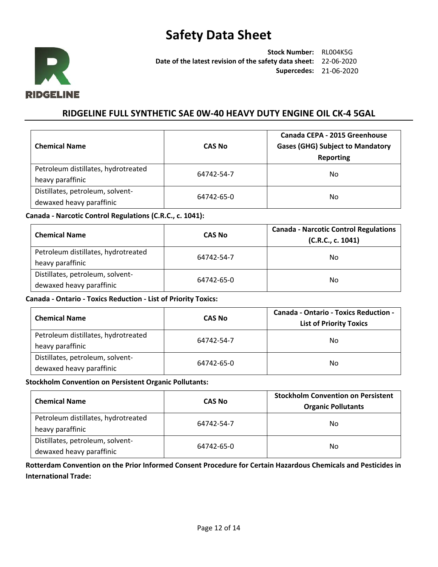

**Stock Number:** RL004K5G **Date of the latest revision of the safety data sheet:** 22-06-2020 **Supercedes:** 21-06-2020

## **RIDGELINE FULL SYNTHETIC SAE 0W-40 HEAVY DUTY ENGINE OIL CK-4 5GAL**

| <b>Chemical Name</b>                | <b>CAS No</b> | Canada CEPA - 2015 Greenhouse<br><b>Gases (GHG) Subject to Mandatory</b><br>Reporting |
|-------------------------------------|---------------|---------------------------------------------------------------------------------------|
| Petroleum distillates, hydrotreated | 64742-54-7    | No                                                                                    |
| heavy paraffinic                    |               |                                                                                       |
| Distillates, petroleum, solvent-    | 64742-65-0    | No                                                                                    |
| dewaxed heavy paraffinic            |               |                                                                                       |

### **Canada - Narcotic Control Regulations (C.R.C., c. 1041):**

| <b>Chemical Name</b>                                         | <b>CAS No</b> | <b>Canada - Narcotic Control Regulations</b><br>(C.R.C., c. 1041) |
|--------------------------------------------------------------|---------------|-------------------------------------------------------------------|
| Petroleum distillates, hydrotreated<br>heavy paraffinic      | 64742-54-7    | No.                                                               |
| Distillates, petroleum, solvent-<br>dewaxed heavy paraffinic | 64742-65-0    | No                                                                |

### **Canada - Ontario - Toxics Reduction - List of Priority Toxics:**

| <b>Chemical Name</b>                                         | <b>CAS No</b> | <b>Canada - Ontario - Toxics Reduction -</b><br><b>List of Priority Toxics</b> |
|--------------------------------------------------------------|---------------|--------------------------------------------------------------------------------|
| Petroleum distillates, hydrotreated<br>heavy paraffinic      | 64742-54-7    | No                                                                             |
| Distillates, petroleum, solvent-<br>dewaxed heavy paraffinic | 64742-65-0    | No                                                                             |

#### **Stockholm Convention on Persistent Organic Pollutants:**

| <b>Chemical Name</b>                                         | <b>CAS No</b> | <b>Stockholm Convention on Persistent</b><br><b>Organic Pollutants</b> |
|--------------------------------------------------------------|---------------|------------------------------------------------------------------------|
| Petroleum distillates, hydrotreated<br>heavy paraffinic      | 64742-54-7    | No                                                                     |
| Distillates, petroleum, solvent-<br>dewaxed heavy paraffinic | 64742-65-0    | No                                                                     |

### **Rotterdam Convention on the Prior Informed Consent Procedure for Certain Hazardous Chemicals and Pesticides in International Trade:**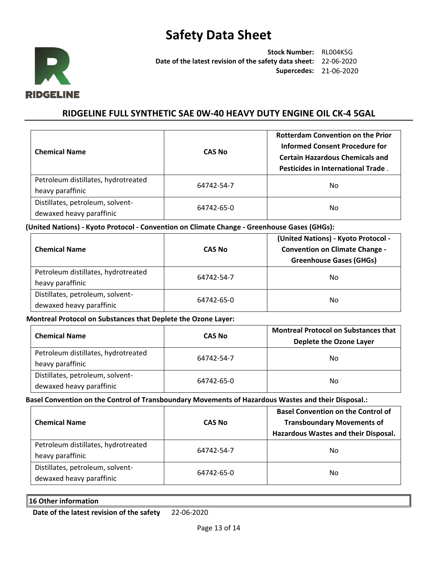

**Stock Number:** RL004K5G **Date of the latest revision of the safety data sheet:** 22-06-2020 **Supercedes:** 21-06-2020

## **RIDGELINE FULL SYNTHETIC SAE 0W-40 HEAVY DUTY ENGINE OIL CK-4 5GAL**

| <b>Chemical Name</b>                                         | <b>CAS No</b> | <b>Rotterdam Convention on the Prior</b><br><b>Informed Consent Procedure for</b><br><b>Certain Hazardous Chemicals and</b><br>Pesticides in International Trade. |
|--------------------------------------------------------------|---------------|-------------------------------------------------------------------------------------------------------------------------------------------------------------------|
| Petroleum distillates, hydrotreated<br>heavy paraffinic      | 64742-54-7    | No.                                                                                                                                                               |
| Distillates, petroleum, solvent-<br>dewaxed heavy paraffinic | 64742-65-0    | No.                                                                                                                                                               |

**(United Nations) - Kyoto Protocol - Convention on Climate Change - Greenhouse Gases (GHGs):**

| <b>Chemical Name</b>                                         | <b>CAS No</b> | (United Nations) - Kyoto Protocol -<br><b>Convention on Climate Change -</b><br><b>Greenhouse Gases (GHGs)</b> |
|--------------------------------------------------------------|---------------|----------------------------------------------------------------------------------------------------------------|
| Petroleum distillates, hydrotreated<br>heavy paraffinic      | 64742-54-7    | No.                                                                                                            |
| Distillates, petroleum, solvent-<br>dewaxed heavy paraffinic | 64742-65-0    | No.                                                                                                            |

**Montreal Protocol on Substances that Deplete the Ozone Layer:**

| <b>Chemical Name</b>                                         | <b>CAS No</b> | <b>Montreal Protocol on Substances that</b><br>Deplete the Ozone Layer |
|--------------------------------------------------------------|---------------|------------------------------------------------------------------------|
| Petroleum distillates, hydrotreated<br>heavy paraffinic      | 64742-54-7    | No.                                                                    |
| Distillates, petroleum, solvent-<br>dewaxed heavy paraffinic | 64742-65-0    | Nο                                                                     |

### **Basel Convention on the Control of Transboundary Movements of Hazardous Wastes and their Disposal.:**

| <b>Chemical Name</b>                                         | <b>CAS No</b> | <b>Basel Convention on the Control of</b><br><b>Transboundary Movements of</b><br>Hazardous Wastes and their Disposal. |
|--------------------------------------------------------------|---------------|------------------------------------------------------------------------------------------------------------------------|
| Petroleum distillates, hydrotreated<br>heavy paraffinic      | 64742-54-7    | No                                                                                                                     |
| Distillates, petroleum, solvent-<br>dewaxed heavy paraffinic | 64742-65-0    | No                                                                                                                     |

### **16 Other information**

**Date of the latest revision of the safety** 22-06-2020